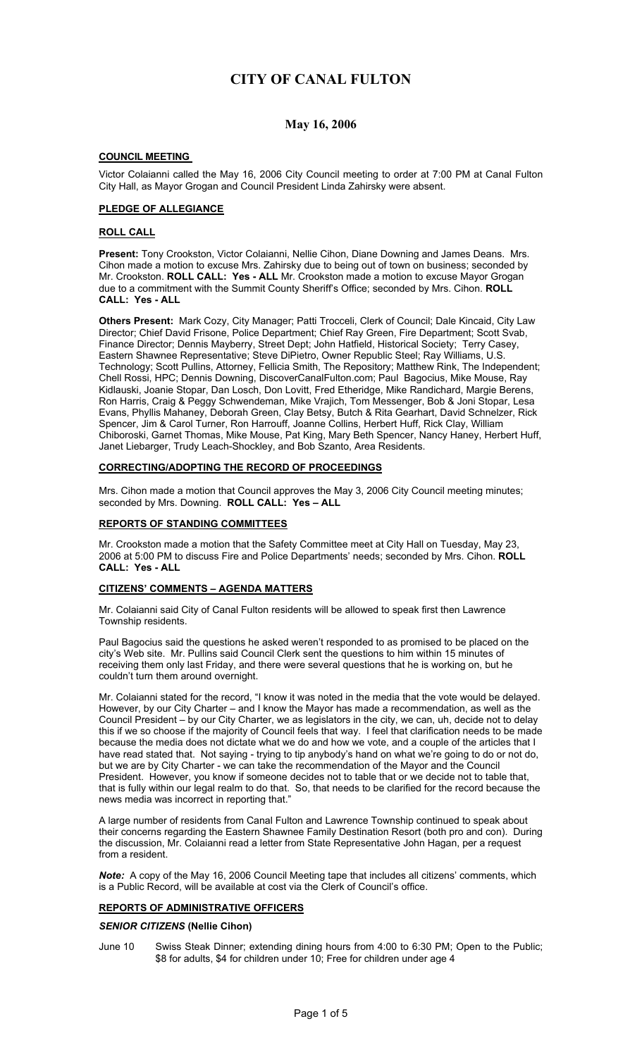# **May 16, 2006**

## **COUNCIL MEETING**

Victor Colaianni called the May 16, 2006 City Council meeting to order at 7:00 PM at Canal Fulton City Hall, as Mayor Grogan and Council President Linda Zahirsky were absent.

## **PLEDGE OF ALLEGIANCE**

### **ROLL CALL**

**Present:** Tony Crookston, Victor Colaianni, Nellie Cihon, Diane Downing and James Deans. Mrs. Cihon made a motion to excuse Mrs. Zahirsky due to being out of town on business; seconded by Mr. Crookston. **ROLL CALL: Yes - ALL** Mr. Crookston made a motion to excuse Mayor Grogan due to a commitment with the Summit County Sheriff's Office; seconded by Mrs. Cihon. **ROLL CALL: Yes - ALL** 

**Others Present:** Mark Cozy, City Manager; Patti Trocceli, Clerk of Council; Dale Kincaid, City Law Director; Chief David Frisone, Police Department; Chief Ray Green, Fire Department; Scott Svab, Finance Director; Dennis Mayberry, Street Dept; John Hatfield, Historical Society; Terry Casey, Eastern Shawnee Representative; Steve DiPietro, Owner Republic Steel; Ray Williams, U.S. Technology; Scott Pullins, Attorney, Fellicia Smith, The Repository; Matthew Rink, The Independent; Chell Rossi, HPC; Dennis Downing, DiscoverCanalFulton.com; Paul Bagocius, Mike Mouse, Ray Kidlauski, Joanie Stopar, Dan Losch, Don Lovitt, Fred Etheridge, Mike Randichard, Margie Berens, Ron Harris, Craig & Peggy Schwendeman, Mike Vrajich, Tom Messenger, Bob & Joni Stopar, Lesa Evans, Phyllis Mahaney, Deborah Green, Clay Betsy, Butch & Rita Gearhart, David Schnelzer, Rick Spencer, Jim & Carol Turner, Ron Harrouff, Joanne Collins, Herbert Huff, Rick Clay, William Chiboroski, Garnet Thomas, Mike Mouse, Pat King, Mary Beth Spencer, Nancy Haney, Herbert Huff, Janet Liebarger, Trudy Leach-Shockley, and Bob Szanto, Area Residents.

#### **CORRECTING/ADOPTING THE RECORD OF PROCEEDINGS**

Mrs. Cihon made a motion that Council approves the May 3, 2006 City Council meeting minutes; seconded by Mrs. Downing. **ROLL CALL: Yes – ALL** 

## **REPORTS OF STANDING COMMITTEES**

Mr. Crookston made a motion that the Safety Committee meet at City Hall on Tuesday, May 23, 2006 at 5:00 PM to discuss Fire and Police Departments' needs; seconded by Mrs. Cihon. **ROLL CALL: Yes - ALL**

## **CITIZENS' COMMENTS – AGENDA MATTERS**

Mr. Colaianni said City of Canal Fulton residents will be allowed to speak first then Lawrence Township residents.

Paul Bagocius said the questions he asked weren't responded to as promised to be placed on the city's Web site. Mr. Pullins said Council Clerk sent the questions to him within 15 minutes of receiving them only last Friday, and there were several questions that he is working on, but he couldn't turn them around overnight.

Mr. Colaianni stated for the record, "I know it was noted in the media that the vote would be delayed. However, by our City Charter – and I know the Mayor has made a recommendation, as well as the Council President – by our City Charter, we as legislators in the city, we can, uh, decide not to delay this if we so choose if the majority of Council feels that way. I feel that clarification needs to be made because the media does not dictate what we do and how we vote, and a couple of the articles that I have read stated that. Not saying - trying to tip anybody's hand on what we're going to do or not do, but we are by City Charter - we can take the recommendation of the Mayor and the Council President. However, you know if someone decides not to table that or we decide not to table that, that is fully within our legal realm to do that. So, that needs to be clarified for the record because the news media was incorrect in reporting that."

A large number of residents from Canal Fulton and Lawrence Township continued to speak about their concerns regarding the Eastern Shawnee Family Destination Resort (both pro and con). During the discussion, Mr. Colaianni read a letter from State Representative John Hagan, per a request from a resident.

*Note:* A copy of the May 16, 2006 Council Meeting tape that includes all citizens' comments, which is a Public Record, will be available at cost via the Clerk of Council's office.

#### **REPORTS OF ADMINISTRATIVE OFFICERS**

#### *SENIOR CITIZENS* **(Nellie Cihon)**

June 10 Swiss Steak Dinner; extending dining hours from 4:00 to 6:30 PM; Open to the Public; \$8 for adults, \$4 for children under 10; Free for children under age 4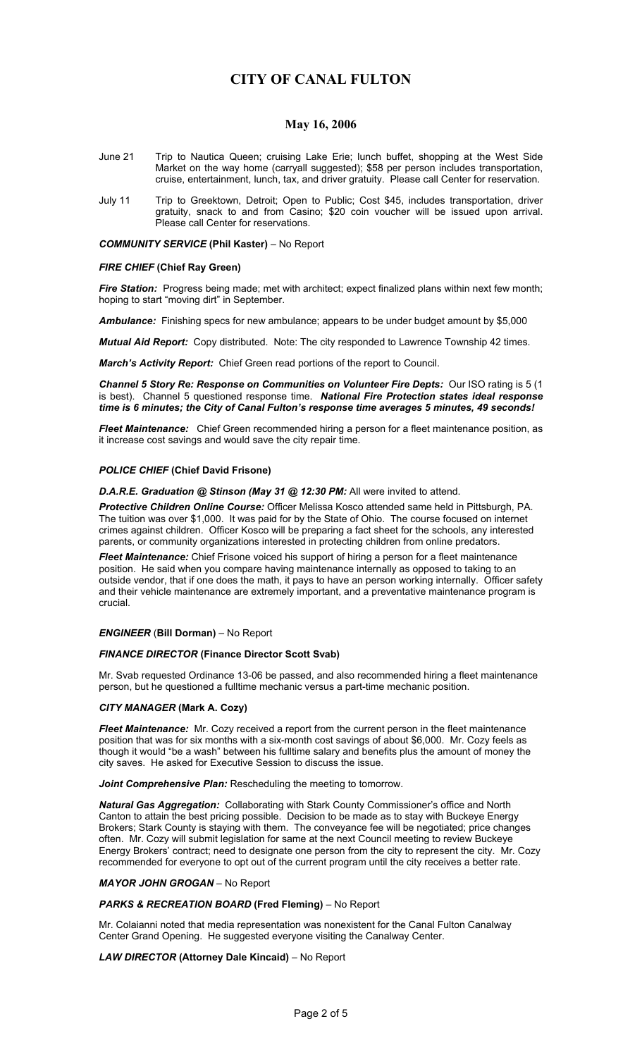## **May 16, 2006**

- June 21 Trip to Nautica Queen; cruising Lake Erie; lunch buffet, shopping at the West Side Market on the way home (carryall suggested); \$58 per person includes transportation, cruise, entertainment, lunch, tax, and driver gratuity. Please call Center for reservation.
- July 11 Trip to Greektown, Detroit; Open to Public; Cost \$45, includes transportation, driver gratuity, snack to and from Casino; \$20 coin voucher will be issued upon arrival. Please call Center for reservations.

## *COMMUNITY SERVICE* **(Phil Kaster)** – No Report

### *FIRE CHIEF* **(Chief Ray Green)**

*Fire Station:* Progress being made; met with architect; expect finalized plans within next few month; hoping to start "moving dirt" in September.

*Ambulance:* Finishing specs for new ambulance; appears to be under budget amount by \$5,000

*Mutual Aid Report:* Copy distributed. Note: The city responded to Lawrence Township 42 times.

*March's Activity Report:* Chief Green read portions of the report to Council.

*Channel 5 Story Re: Response on Communities on Volunteer Fire Depts:* Our ISO rating is 5 (1 is best). Channel 5 questioned response time. *National Fire Protection states ideal response time is 6 minutes; the City of Canal Fulton's response time averages 5 minutes, 49 seconds!*

*Fleet Maintenance:* Chief Green recommended hiring a person for a fleet maintenance position, as it increase cost savings and would save the city repair time.

#### *POLICE CHIEF* **(Chief David Frisone)**

*D.A.R.E. Graduation @ Stinson (May 31 @ 12:30 PM:* All were invited to attend.

*Protective Children Online Course:* Officer Melissa Kosco attended same held in Pittsburgh, PA. The tuition was over \$1,000. It was paid for by the State of Ohio. The course focused on internet crimes against children. Officer Kosco will be preparing a fact sheet for the schools, any interested parents, or community organizations interested in protecting children from online predators.

*Fleet Maintenance:* Chief Frisone voiced his support of hiring a person for a fleet maintenance position. He said when you compare having maintenance internally as opposed to taking to an outside vendor, that if one does the math, it pays to have an person working internally. Officer safety and their vehicle maintenance are extremely important, and a preventative maintenance program is crucial.

#### *ENGINEER* (**Bill Dorman)** – No Report

## *FINANCE DIRECTOR* **(Finance Director Scott Svab)**

Mr. Svab requested Ordinance 13-06 be passed, and also recommended hiring a fleet maintenance person, but he questioned a fulltime mechanic versus a part-time mechanic position.

#### *CITY MANAGER* **(Mark A. Cozy)**

*Fleet Maintenance:* Mr. Cozy received a report from the current person in the fleet maintenance position that was for six months with a six-month cost savings of about \$6,000. Mr. Cozy feels as though it would "be a wash" between his fulltime salary and benefits plus the amount of money the city saves. He asked for Executive Session to discuss the issue.

*Joint Comprehensive Plan:* Rescheduling the meeting to tomorrow.

*Natural Gas Aggregation:* Collaborating with Stark County Commissioner's office and North Canton to attain the best pricing possible. Decision to be made as to stay with Buckeye Energy Brokers; Stark County is staying with them. The conveyance fee will be negotiated; price changes often. Mr. Cozy will submit legislation for same at the next Council meeting to review Buckeye Energy Brokers' contract; need to designate one person from the city to represent the city. Mr. Cozy recommended for everyone to opt out of the current program until the city receives a better rate.

#### *MAYOR JOHN GROGAN* – No Report

#### *PARKS & RECREATION BOARD* **(Fred Fleming)** – No Report

Mr. Colaianni noted that media representation was nonexistent for the Canal Fulton Canalway Center Grand Opening. He suggested everyone visiting the Canalway Center.

#### *LAW DIRECTOR* **(Attorney Dale Kincaid)** – No Report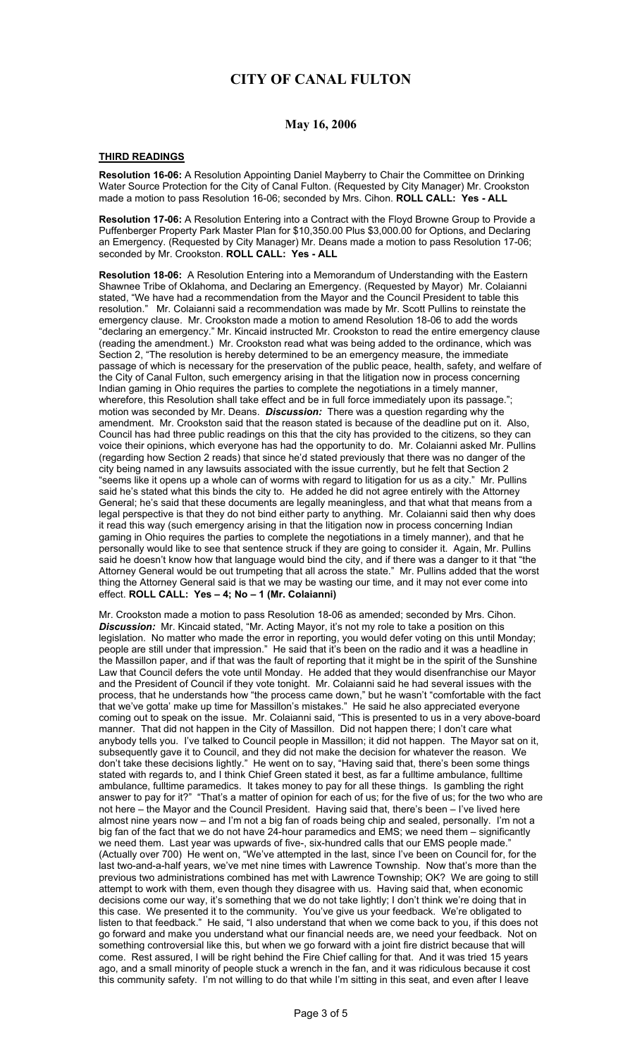## **May 16, 2006**

# **THIRD READINGS**

**Resolution 16-06:** A Resolution Appointing Daniel Mayberry to Chair the Committee on Drinking Water Source Protection for the City of Canal Fulton. (Requested by City Manager) Mr. Crookston made a motion to pass Resolution 16-06; seconded by Mrs. Cihon. **ROLL CALL: Yes - ALL** 

**Resolution 17-06:** A Resolution Entering into a Contract with the Floyd Browne Group to Provide a Puffenberger Property Park Master Plan for \$10,350.00 Plus \$3,000.00 for Options, and Declaring an Emergency. (Requested by City Manager) Mr. Deans made a motion to pass Resolution 17-06; seconded by Mr. Crookston. **ROLL CALL: Yes - ALL** 

**Resolution 18-06:** A Resolution Entering into a Memorandum of Understanding with the Eastern Shawnee Tribe of Oklahoma, and Declaring an Emergency. (Requested by Mayor) Mr. Colaianni stated, "We have had a recommendation from the Mayor and the Council President to table this resolution." Mr. Colaianni said a recommendation was made by Mr. Scott Pullins to reinstate the emergency clause. Mr. Crookston made a motion to amend Resolution 18-06 to add the words "declaring an emergency." Mr. Kincaid instructed Mr. Crookston to read the entire emergency clause (reading the amendment.) Mr. Crookston read what was being added to the ordinance, which was Section 2, "The resolution is hereby determined to be an emergency measure, the immediate passage of which is necessary for the preservation of the public peace, health, safety, and welfare of the City of Canal Fulton, such emergency arising in that the litigation now in process concerning Indian gaming in Ohio requires the parties to complete the negotiations in a timely manner, wherefore, this Resolution shall take effect and be in full force immediately upon its passage."; motion was seconded by Mr. Deans. *Discussion:* There was a question regarding why the amendment. Mr. Crookston said that the reason stated is because of the deadline put on it. Also, Council has had three public readings on this that the city has provided to the citizens, so they can voice their opinions, which everyone has had the opportunity to do. Mr. Colaianni asked Mr. Pullins (regarding how Section 2 reads) that since he'd stated previously that there was no danger of the city being named in any lawsuits associated with the issue currently, but he felt that Section 2 "seems like it opens up a whole can of worms with regard to litigation for us as a city." Mr. Pullins said he's stated what this binds the city to. He added he did not agree entirely with the Attorney General; he's said that these documents are legally meaningless, and that what that means from a legal perspective is that they do not bind either party to anything. Mr. Colaianni said then why does it read this way (such emergency arising in that the litigation now in process concerning Indian gaming in Ohio requires the parties to complete the negotiations in a timely manner), and that he personally would like to see that sentence struck if they are going to consider it. Again, Mr. Pullins said he doesn't know how that language would bind the city, and if there was a danger to it that "the Attorney General would be out trumpeting that all across the state." Mr. Pullins added that the worst thing the Attorney General said is that we may be wasting our time, and it may not ever come into effect. **ROLL CALL: Yes – 4; No – 1 (Mr. Colaianni)** 

Mr. Crookston made a motion to pass Resolution 18-06 as amended; seconded by Mrs. Cihon. *Discussion:* Mr. Kincaid stated, "Mr. Acting Mayor, it's not my role to take a position on this legislation. No matter who made the error in reporting, you would defer voting on this until Monday; people are still under that impression." He said that it's been on the radio and it was a headline in the Massillon paper, and if that was the fault of reporting that it might be in the spirit of the Sunshine Law that Council defers the vote until Monday. He added that they would disenfranchise our Mayor and the President of Council if they vote tonight. Mr. Colaianni said he had several issues with the process, that he understands how "the process came down," but he wasn't "comfortable with the fact that we've gotta' make up time for Massillon's mistakes." He said he also appreciated everyone coming out to speak on the issue. Mr. Colaianni said, "This is presented to us in a very above-board manner. That did not happen in the City of Massillon. Did not happen there; I don't care what anybody tells you. I've talked to Council people in Massillon; it did not happen. The Mayor sat on it, subsequently gave it to Council, and they did not make the decision for whatever the reason. We don't take these decisions lightly." He went on to say, "Having said that, there's been some things stated with regards to, and I think Chief Green stated it best, as far a fulltime ambulance, fulltime ambulance, fulltime paramedics. It takes money to pay for all these things. Is gambling the right answer to pay for it?" "That's a matter of opinion for each of us; for the five of us; for the two who are not here – the Mayor and the Council President. Having said that, there's been – I've lived here almost nine years now - and I'm not a big fan of roads being chip and sealed, personally. I'm not a big fan of the fact that we do not have 24-hour paramedics and EMS; we need them – significantly we need them. Last year was upwards of five-, six-hundred calls that our EMS people made." (Actually over 700) He went on, "We've attempted in the last, since I've been on Council for, for the last two-and-a-half years, we've met nine times with Lawrence Township. Now that's more than the previous two administrations combined has met with Lawrence Township; OK? We are going to still attempt to work with them, even though they disagree with us. Having said that, when economic decisions come our way, it's something that we do not take lightly; I don't think we're doing that in this case. We presented it to the community. You've give us your feedback. We're obligated to listen to that feedback." He said, "I also understand that when we come back to you, if this does not go forward and make you understand what our financial needs are, we need your feedback. Not on something controversial like this, but when we go forward with a joint fire district because that will come. Rest assured, I will be right behind the Fire Chief calling for that. And it was tried 15 years ago, and a small minority of people stuck a wrench in the fan, and it was ridiculous because it cost this community safety. I'm not willing to do that while I'm sitting in this seat, and even after I leave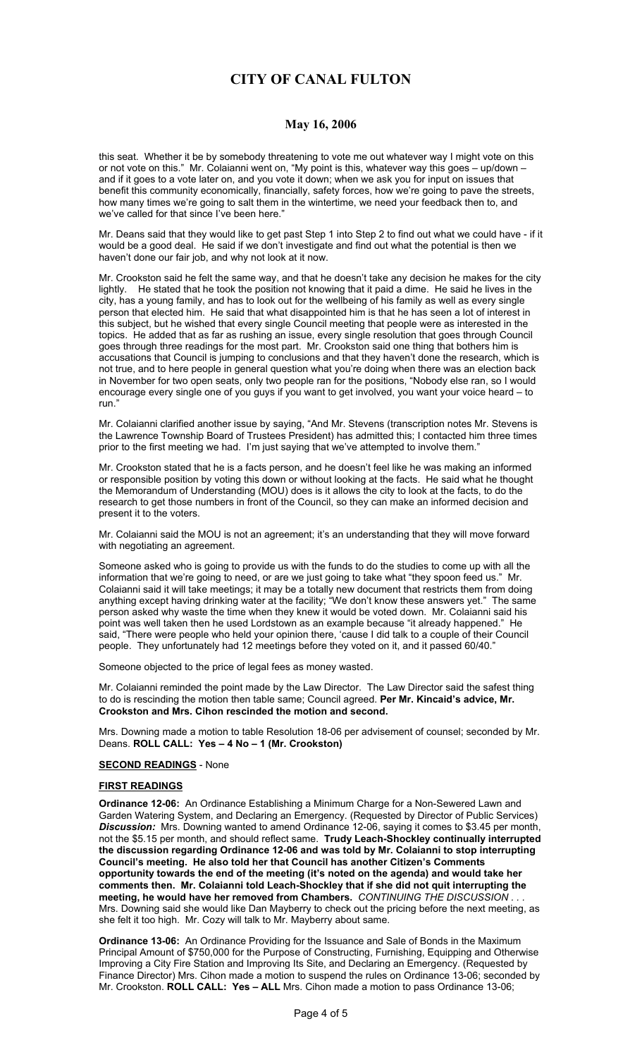## **May 16, 2006**

this seat. Whether it be by somebody threatening to vote me out whatever way I might vote on this or not vote on this." Mr. Colaianni went on, "My point is this, whatever way this goes – up/down – and if it goes to a vote later on, and you vote it down; when we ask you for input on issues that benefit this community economically, financially, safety forces, how we're going to pave the streets, how many times we're going to salt them in the wintertime, we need your feedback then to, and we've called for that since I've been here."

Mr. Deans said that they would like to get past Step 1 into Step 2 to find out what we could have - if it would be a good deal. He said if we don't investigate and find out what the potential is then we haven't done our fair job, and why not look at it now.

Mr. Crookston said he felt the same way, and that he doesn't take any decision he makes for the city lightly. He stated that he took the position not knowing that it paid a dime. He said he lives in the city, has a young family, and has to look out for the wellbeing of his family as well as every single person that elected him. He said that what disappointed him is that he has seen a lot of interest in this subject, but he wished that every single Council meeting that people were as interested in the topics. He added that as far as rushing an issue, every single resolution that goes through Council goes through three readings for the most part. Mr. Crookston said one thing that bothers him is accusations that Council is jumping to conclusions and that they haven't done the research, which is not true, and to here people in general question what you're doing when there was an election back in November for two open seats, only two people ran for the positions, "Nobody else ran, so I would encourage every single one of you guys if you want to get involved, you want your voice heard – to run."

Mr. Colaianni clarified another issue by saying, "And Mr. Stevens (transcription notes Mr. Stevens is the Lawrence Township Board of Trustees President) has admitted this; I contacted him three times prior to the first meeting we had. I'm just saying that we've attempted to involve them."

Mr. Crookston stated that he is a facts person, and he doesn't feel like he was making an informed or responsible position by voting this down or without looking at the facts. He said what he thought the Memorandum of Understanding (MOU) does is it allows the city to look at the facts, to do the research to get those numbers in front of the Council, so they can make an informed decision and present it to the voters.

Mr. Colaianni said the MOU is not an agreement; it's an understanding that they will move forward with negotiating an agreement.

Someone asked who is going to provide us with the funds to do the studies to come up with all the information that we're going to need, or are we just going to take what "they spoon feed us." Mr. Colaianni said it will take meetings; it may be a totally new document that restricts them from doing anything except having drinking water at the facility; "We don't know these answers yet." The same person asked why waste the time when they knew it would be voted down. Mr. Colaianni said his point was well taken then he used Lordstown as an example because "it already happened." He said, "There were people who held your opinion there, 'cause I did talk to a couple of their Council people. They unfortunately had 12 meetings before they voted on it, and it passed 60/40."

Someone objected to the price of legal fees as money wasted.

Mr. Colaianni reminded the point made by the Law Director. The Law Director said the safest thing to do is rescinding the motion then table same; Council agreed. **Per Mr. Kincaid's advice, Mr. Crookston and Mrs. Cihon rescinded the motion and second.** 

Mrs. Downing made a motion to table Resolution 18-06 per advisement of counsel; seconded by Mr. Deans. **ROLL CALL: Yes – 4 No – 1 (Mr. Crookston)** 

#### **SECOND READINGS** - None

#### **FIRST READINGS**

**Ordinance 12-06:** An Ordinance Establishing a Minimum Charge for a Non-Sewered Lawn and Garden Watering System, and Declaring an Emergency. (Requested by Director of Public Services) *Discussion:* Mrs. Downing wanted to amend Ordinance 12-06, saying it comes to \$3.45 per month, not the \$5.15 per month, and should reflect same. **Trudy Leach-Shockley continually interrupted the discussion regarding Ordinance 12-06 and was told by Mr. Colaianni to stop interrupting Council's meeting. He also told her that Council has another Citizen's Comments opportunity towards the end of the meeting (it's noted on the agenda) and would take her comments then. Mr. Colaianni told Leach-Shockley that if she did not quit interrupting the meeting, he would have her removed from Chambers.** *CONTINUING THE DISCUSSION . . .*  Mrs. Downing said she would like Dan Mayberry to check out the pricing before the next meeting, as she felt it too high. Mr. Cozy will talk to Mr. Mayberry about same.

**Ordinance 13-06:** An Ordinance Providing for the Issuance and Sale of Bonds in the Maximum Principal Amount of \$750,000 for the Purpose of Constructing, Furnishing, Equipping and Otherwise Improving a City Fire Station and Improving Its Site, and Declaring an Emergency. (Requested by Finance Director) Mrs. Cihon made a motion to suspend the rules on Ordinance 13-06; seconded by Mr. Crookston. **ROLL CALL: Yes – ALL** Mrs. Cihon made a motion to pass Ordinance 13-06;